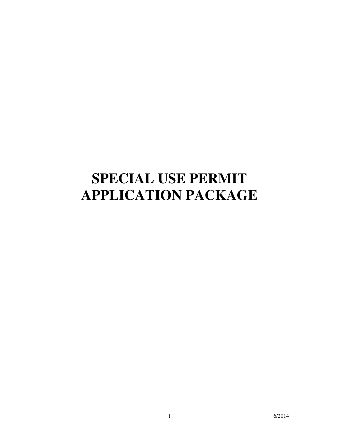# **SPECIAL USE PERMIT APPLICATION PACKAGE**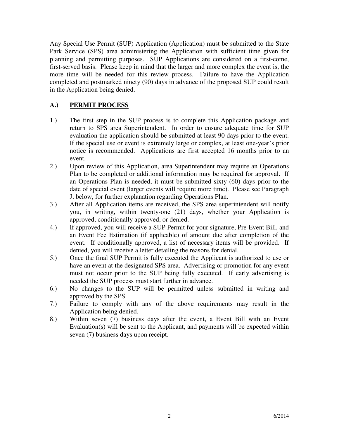Any Special Use Permit (SUP) Application (Application) must be submitted to the State Park Service (SPS) area administering the Application with sufficient time given for planning and permitting purposes. SUP Applications are considered on a first-come, first-served basis. Please keep in mind that the larger and more complex the event is, the more time will be needed for this review process. Failure to have the Application completed and postmarked ninety (90) days in advance of the proposed SUP could result in the Application being denied.

# **A.) PERMIT PROCESS**

- 1.) The first step in the SUP process is to complete this Application package and return to SPS area Superintendent. In order to ensure adequate time for SUP evaluation the application should be submitted at least 90 days prior to the event. If the special use or event is extremely large or complex, at least one-year's prior notice is recommended. Applications are first accepted 16 months prior to an event.
- 2.) Upon review of this Application, area Superintendent may require an Operations Plan to be completed or additional information may be required for approval. If an Operations Plan is needed, it must be submitted sixty (60) days prior to the date of special event (larger events will require more time). Please see Paragraph J, below, for further explanation regarding Operations Plan.
- 3.) After all Application items are received, the SPS area superintendent will notify you, in writing, within twenty-one (21) days, whether your Application is approved, conditionally approved, or denied.
- 4.) If approved, you will receive a SUP Permit for your signature, Pre-Event Bill, and an Event Fee Estimation (if applicable) of amount due after completion of the event. If conditionally approved, a list of necessary items will be provided. If denied, you will receive a letter detailing the reasons for denial.
- 5.) Once the final SUP Permit is fully executed the Applicant is authorized to use or have an event at the designated SPS area. Advertising or promotion for any event must not occur prior to the SUP being fully executed. If early advertising is needed the SUP process must start further in advance.
- 6.) No changes to the SUP will be permitted unless submitted in writing and approved by the SPS.
- 7.) Failure to comply with any of the above requirements may result in the Application being denied.
- 8.) Within seven (7) business days after the event, a Event Bill with an Event Evaluation(s) will be sent to the Applicant, and payments will be expected within seven (7) business days upon receipt.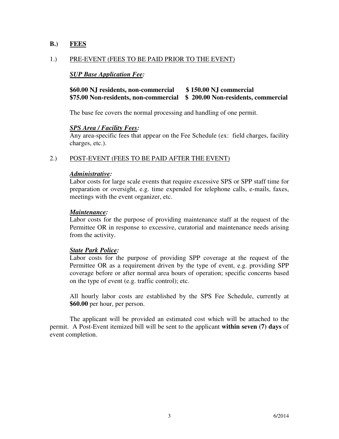#### **B.) FEES**

#### 1.) PRE-EVENT (FEES TO BE PAID PRIOR TO THE EVENT)

#### *SUP Base Application Fee:*

# **\$60.00 NJ residents, non-commercial \$ 150.00 NJ commercial \$75.00 Non-residents, non-commercial \$ 200.00 Non-residents, commercial**

The base fee covers the normal processing and handling of one permit.

#### *SPS Area / Facilit***y** *Fees:*

Any area-specific fees that appear on the Fee Schedule (ex: field charges, facility charges, etc.).

#### 2.) POST-EVENT (FEES TO BE PAID AFTER THE EVENT)

#### *Administrative:*

Labor costs for large scale events that require excessive SPS or SPP staff time for preparation or oversight, e.g. time expended for telephone calls, e-mails, faxes, meetings with the event organizer, etc.

#### *Maintenance:*

Labor costs for the purpose of providing maintenance staff at the request of the Permittee OR in response to excessive, curatorial and maintenance needs arising from the activity.

#### *State Park Police:*

Labor costs for the purpose of providing SPP coverage at the request of the Permittee OR as a requirement driven by the type of event, e.g. providing SPP coverage before or after normal area hours of operation; specific concerns based on the type of event (e.g. traffic control); etc.

All hourly labor costs are established by the SPS Fee Schedule, currently at **\$60.00** per hour, per person.

 The applicant will be provided an estimated cost which will be attached to the permit. A Post-Event itemized bill will be sent to the applicant **within seven (7) days** of event completion.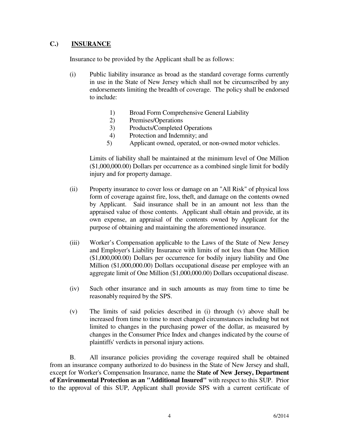# **C.) INSURANCE**

Insurance to be provided by the Applicant shall be as follows:

- (i) Public liability insurance as broad as the standard coverage forms currently in use in the State of New Jersey which shall not be circumscribed by any endorsements limiting the breadth of coverage. The policy shall be endorsed to include:
	- 1) Broad Form Comprehensive General Liability
	- 2) Premises/Operations
	- 3) Products/Completed Operations
	- 4) Protection and Indemnity; and
	- 5) Applicant owned, operated, or non-owned motor vehicles.

 Limits of liability shall be maintained at the minimum level of One Million (\$1,000,000.00) Dollars per occurrence as a combined single limit for bodily injury and for property damage.

- (ii) Property insurance to cover loss or damage on an "All Risk" of physical loss form of coverage against fire, loss, theft, and damage on the contents owned by Applicant. Said insurance shall be in an amount not less than the appraised value of those contents. Applicant shall obtain and provide, at its own expense, an appraisal of the contents owned by Applicant for the purpose of obtaining and maintaining the aforementioned insurance.
- (iii) Worker's Compensation applicable to the Laws of the State of New Jersey and Employer's Liability Insurance with limits of not less than One Million (\$1,000,000.00) Dollars per occurrence for bodily injury liability and One Million (\$1,000,000.00) Dollars occupational disease per employee with an aggregate limit of One Million (\$1,000,000.00) Dollars occupational disease.
- (iv) Such other insurance and in such amounts as may from time to time be reasonably required by the SPS.
- (v) The limits of said policies described in (i) through (v) above shall be increased from time to time to meet changed circumstances including but not limited to changes in the purchasing power of the dollar, as measured by changes in the Consumer Price Index and changes indicated by the course of plaintiffs' verdicts in personal injury actions.

 B. All insurance policies providing the coverage required shall be obtained from an insurance company authorized to do business in the State of New Jersey and shall, except for Worker's Compensation Insurance, name the **State of New Jersey, Department of Environmental Protection as an "Additional Insured"** with respect to this SUP. Prior to the approval of this SUP, Applicant shall provide SPS with a current certificate of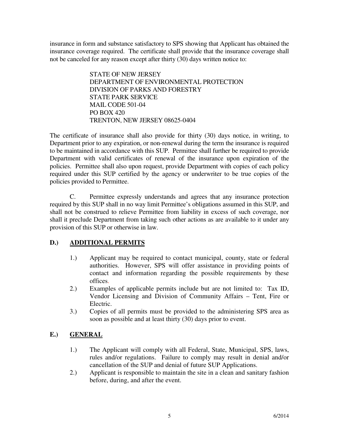insurance in form and substance satisfactory to SPS showing that Applicant has obtained the insurance coverage required. The certificate shall provide that the insurance coverage shall not be canceled for any reason except after thirty (30) days written notice to:

> STATE OF NEW JERSEY DEPARTMENT OF ENVIRONMENTAL PROTECTION DIVISION OF PARKS AND FORESTRY STATE PARK SERVICE MAIL CODE 501-04 PO BOX 420 TRENTON, NEW JERSEY 08625-0404

The certificate of insurance shall also provide for thirty (30) days notice, in writing, to Department prior to any expiration, or non-renewal during the term the insurance is required to be maintained in accordance with this SUP. Permittee shall further be required to provide Department with valid certificates of renewal of the insurance upon expiration of the policies. Permittee shall also upon request, provide Department with copies of each policy required under this SUP certified by the agency or underwriter to be true copies of the policies provided to Permittee.

 C. Permittee expressly understands and agrees that any insurance protection required by this SUP shall in no way limit Permittee's obligations assumed in this SUP, and shall not be construed to relieve Permittee from liability in excess of such coverage, nor shall it preclude Department from taking such other actions as are available to it under any provision of this SUP or otherwise in law.

# **D.) ADDITIONAL PERMITS**

- 1.) Applicant may be required to contact municipal, county, state or federal authorities. However, SPS will offer assistance in providing points of contact and information regarding the possible requirements by these offices.
- 2.) Examples of applicable permits include but are not limited to: Tax ID, Vendor Licensing and Division of Community Affairs – Tent, Fire or Electric.
- 3.) Copies of all permits must be provided to the administering SPS area as soon as possible and at least thirty (30) days prior to event.

# **E.) GENERAL**

- 1.) The Applicant will comply with all Federal, State, Municipal, SPS, laws, rules and/or regulations. Failure to comply may result in denial and/or cancellation of the SUP and denial of future SUP Applications.
- 2.) Applicant is responsible to maintain the site in a clean and sanitary fashion before, during, and after the event.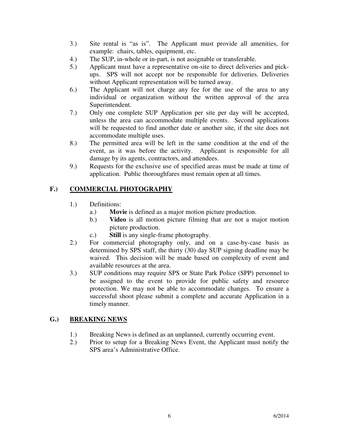- 3.) Site rental is "as is". The Applicant must provide all amenities, for example: chairs, tables, equipment, etc.
- 4.) The SUP, in-whole or in-part, is not assignable or transferable.
- 5.) Applicant must have a representative on-site to direct deliveries and pickups. SPS will not accept nor be responsible for deliveries. Deliveries without Applicant representation will be turned away.
- 6.) The Applicant will not charge any fee for the use of the area to any individual or organization without the written approval of the area Superintendent.
- 7.) Only one complete SUP Application per site per day will be accepted, unless the area can accommodate multiple events. Second applications will be requested to find another date or another site, if the site does not accommodate multiple uses.
- 8.) The permitted area will be left in the same condition at the end of the event, as it was before the activity. Applicant is responsible for all damage by its agents, contractors, and attendees.
- 9.) Requests for the exclusive use of specified areas must be made at time of application. Public thoroughfares must remain open at all times.

# **F.) COMMERCIAL PHOTOGRAPHY**

- 1.) Definitions:
	- a.) **Movie** is defined as a major motion picture production.
	- b.) **Video** is all motion picture filming that are not a major motion picture production.
	- c.) **Still** is any single-frame photography.
- 2.) For commercial photography only, and on a case-by-case basis as determined by SPS staff, the thirty (30) day SUP signing deadline may be waived. This decision will be made based on complexity of event and available resources at the area.
- 3.) SUP conditions may require SPS or State Park Police (SPP) personnel to be assigned to the event to provide for public safety and resource protection. We may not be able to accommodate changes. To ensure a successful shoot please submit a complete and accurate Application in a timely manner.

# **G.) BREAKING NEWS**

- 1.) Breaking News is defined as an unplanned, currently occurring event.
- 2.) Prior to setup for a Breaking News Event, the Applicant must notify the SPS area's Administrative Office.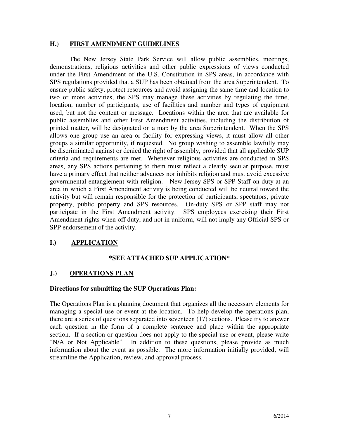#### **H.) FIRST AMENDMENT GUIDELINES**

The New Jersey State Park Service will allow public assemblies, meetings, demonstrations, religious activities and other public expressions of views conducted under the First Amendment of the U.S. Constitution in SPS areas, in accordance with SPS regulations provided that a SUP has been obtained from the area Superintendent. To ensure public safety, protect resources and avoid assigning the same time and location to two or more activities, the SPS may manage these activities by regulating the time, location, number of participants, use of facilities and number and types of equipment used, but not the content or message. Locations within the area that are available for public assemblies and other First Amendment activities, including the distribution of printed matter, will be designated on a map by the area Superintendent. When the SPS allows one group use an area or facility for expressing views, it must allow all other groups a similar opportunity, if requested. No group wishing to assemble lawfully may be discriminated against or denied the right of assembly, provided that all applicable SUP criteria and requirements are met. Whenever religious activities are conducted in SPS areas, any SPS actions pertaining to them must reflect a clearly secular purpose, must have a primary effect that neither advances nor inhibits religion and must avoid excessive governmental entanglement with religion. New Jersey SPS or SPP Staff on duty at an area in which a First Amendment activity is being conducted will be neutral toward the activity but will remain responsible for the protection of participants, spectators, private property, public property and SPS resources. On-duty SPS or SPP staff may not participate in the First Amendment activity. SPS employees exercising their First Amendment rights when off duty, and not in uniform, will not imply any Official SPS or SPP endorsement of the activity.

# **I.) APPLICATION**

# **\*SEE ATTACHED SUP APPLICATION\***

#### **J.) OPERATIONS PLAN**

#### **Directions for submitting the SUP Operations Plan:**

The Operations Plan is a planning document that organizes all the necessary elements for managing a special use or event at the location. To help develop the operations plan, there are a series of questions separated into seventeen (17) sections. Please try to answer each question in the form of a complete sentence and place within the appropriate section. If a section or question does not apply to the special use or event, please write "N/A or Not Applicable". In addition to these questions, please provide as much information about the event as possible. The more information initially provided, will streamline the Application, review, and approval process.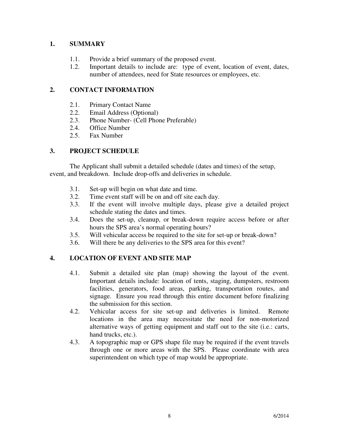# **1. SUMMARY**

- 1.1. Provide a brief summary of the proposed event.
- 1.2. Important details to include are: type of event, location of event, dates, number of attendees, need for State resources or employees, etc.

# **2. CONTACT INFORMATION**

- 2.1. Primary Contact Name
- 2.2. Email Address (Optional)
- 2.3. Phone Number- (Cell Phone Preferable)
- 2.4. Office Number
- 2.5. Fax Number

# **3. PROJECT SCHEDULE**

The Applicant shall submit a detailed schedule (dates and times) of the setup, event, and breakdown. Include drop-offs and deliveries in schedule.

- 3.1. Set-up will begin on what date and time.
- 3.2. Time event staff will be on and off site each day.
- 3.3. If the event will involve multiple days, please give a detailed project schedule stating the dates and times.
- 3.4. Does the set-up, cleanup, or break-down require access before or after hours the SPS area's normal operating hours?
- 3.5. Will vehicular access be required to the site for set-up or break-down?
- 3.6. Will there be any deliveries to the SPS area for this event?

# **4. LOCATION OF EVENT AND SITE MAP**

- 4.1. Submit a detailed site plan (map) showing the layout of the event. Important details include: location of tents, staging, dumpsters, restroom facilities, generators, food areas, parking, transportation routes, and signage. Ensure you read through this entire document before finalizing the submission for this section.
- 4.2. Vehicular access for site set-up and deliveries is limited. Remote locations in the area may necessitate the need for non-motorized alternative ways of getting equipment and staff out to the site (i.e.: carts, hand trucks, etc.).
- 4.3. A topographic map or GPS shape file may be required if the event travels through one or more areas with the SPS. Please coordinate with area superintendent on which type of map would be appropriate.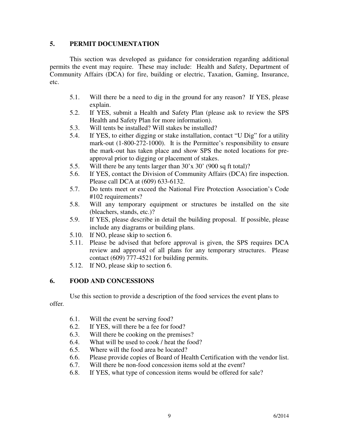# **5. PERMIT DOCUMENTATION**

This section was developed as guidance for consideration regarding additional permits the event may require. These may include: Health and Safety, Department of Community Affairs (DCA) for fire, building or electric, Taxation, Gaming, Insurance, etc.

- 5.1. Will there be a need to dig in the ground for any reason? If YES, please explain.
- 5.2. If YES, submit a Health and Safety Plan (please ask to review the SPS Health and Safety Plan for more information).
- 5.3. Will tents be installed? Will stakes be installed?
- 5.4. If YES, to either digging or stake installation, contact "U Dig" for a utility mark-out (1-800-272-1000). It is the Permittee's responsibility to ensure the mark-out has taken place and show SPS the noted locations for preapproval prior to digging or placement of stakes.
- 5.5. Will there be any tents larger than 30'x 30' (900 sq ft total)?
- 5.6. If YES, contact the Division of Community Affairs (DCA) fire inspection. Please call DCA at (609) 633-6132.
- 5.7. Do tents meet or exceed the National Fire Protection Association's Code #102 requirements?
- 5.8. Will any temporary equipment or structures be installed on the site (bleachers, stands, etc.)?
- 5.9. If YES, please describe in detail the building proposal. If possible, please include any diagrams or building plans.
- 5.10. If NO, please skip to section 6.
- 5.11. Please be advised that before approval is given, the SPS requires DCA review and approval of all plans for any temporary structures. Please contact (609) 777-4521 for building permits.
- 5.12. If NO, please skip to section 6.

# **6. FOOD AND CONCESSIONS**

Use this section to provide a description of the food services the event plans to offer*.* 

- 6.1. Will the event be serving food?
- 6.2. If YES, will there be a fee for food?
- 6.3. Will there be cooking on the premises?
- 6.4. What will be used to cook / heat the food?
- 6.5. Where will the food area be located?
- 6.6. Please provide copies of Board of Health Certification with the vendor list.
- 6.7. Will there be non-food concession items sold at the event?
- 6.8. If YES, what type of concession items would be offered for sale?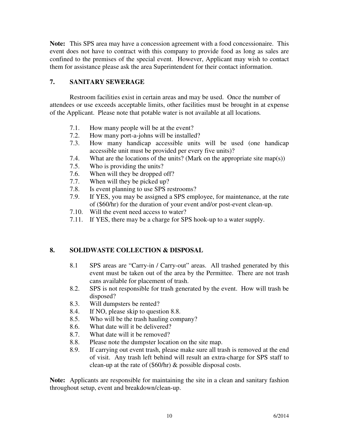**Note:** This SPS area may have a concession agreement with a food concessionaire. This event does not have to contract with this company to provide food as long as sales are confined to the premises of the special event. However, Applicant may wish to contact them for assistance please ask the area Superintendent for their contact information.

# **7. SANITARY SEWERAGE**

Restroom facilities exist in certain areas and may be used. Once the number of attendees or use exceeds acceptable limits, other facilities must be brought in at expense of the Applicant. Please note that potable water is not available at all locations*.* 

- 7.1. How many people will be at the event?
- 7.2. How many port-a-johns will be installed?
- 7.3. How many handicap accessible units will be used (one handicap accessible unit must be provided per every five units)?
- 7.4. What are the locations of the units? (Mark on the appropriate site map(s))
- 7.5. Who is providing the units?
- 7.6. When will they be dropped off?
- 7.7. When will they be picked up?
- 7.8. Is event planning to use SPS restrooms?
- 7.9. If YES, you may be assigned a SPS employee, for maintenance, at the rate of (\$60/hr) for the duration of your event and/or post-event clean-up.
- 7.10. Will the event need access to water?
- 7.11. If YES, there may be a charge for SPS hook-up to a water supply.

# **8. SOLIDWASTE COLLECTION & DISPOSAL**

- 8.1 SPS areas are "Carry-in / Carry-out" areas. All trashed generated by this event must be taken out of the area by the Permittee. There are not trash cans available for placement of trash.
- 8.2. SPS is not responsible for trash generated by the event. How will trash be disposed?
- 8.3. Will dumpsters be rented?
- 8.4. If NO, please skip to question 8.8.
- 8.5. Who will be the trash hauling company?
- 8.6. What date will it be delivered?
- 8.7. What date will it be removed?
- 8.8. Please note the dumpster location on the site map.
- 8.9. If carrying out event trash, please make sure all trash is removed at the end of visit. Any trash left behind will result an extra-charge for SPS staff to clean-up at the rate of (\$60/hr) & possible disposal costs.

**Note:** Applicants are responsible for maintaining the site in a clean and sanitary fashion throughout setup, event and breakdown/clean-up.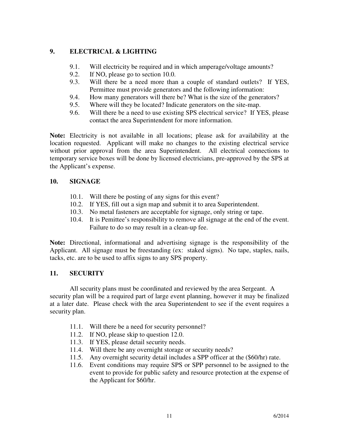# **9. ELECTRICAL & LIGHTING**

- 9.1. Will electricity be required and in which amperage/voltage amounts?
- 9.2. If NO, please go to section 10.0.
- 9.3. Will there be a need more than a couple of standard outlets? If YES, Permittee must provide generators and the following information:
- 9.4. How many generators will there be? What is the size of the generators?
- 9.5. Where will they be located? Indicate generators on the site-map.
- 9.6. Will there be a need to use existing SPS electrical service? If YES, please contact the area Superintendent for more information.

**Note:** Electricity is not available in all locations; please ask for availability at the location requested. Applicant will make no changes to the existing electrical service without prior approval from the area Superintendent. All electrical connections to temporary service boxes will be done by licensed electricians, pre-approved by the SPS at the Applicant's expense.

# **10. SIGNAGE**

- 10.1. Will there be posting of any signs for this event?
- 10.2. If YES, fill out a sign map and submit it to area Superintendent.
- 10.3. No metal fasteners are acceptable for signage, only string or tape.
- 10.4. It is Pemittee's responsibility to remove all signage at the end of the event. Failure to do so may result in a clean-up fee.

**Note:** Directional, informational and advertising signage is the responsibility of the Applicant. All signage must be freestanding (ex: staked signs). No tape, staples, nails, tacks, etc. are to be used to affix signs to any SPS property.

# **11. SECURITY**

All security plans must be coordinated and reviewed by the area Sergeant. A security plan will be a required part of large event planning, however it may be finalized at a later date. Please check with the area Superintendent to see if the event requires a security plan.

- 11.1. Will there be a need for security personnel?
- 11.2. If NO, please skip to question 12.0.
- 11.3. If YES, please detail security needs.
- 11.4. Will there be any overnight storage or security needs?
- 11.5. Any overnight security detail includes a SPP officer at the (\$60/hr) rate.
- 11.6. Event conditions may require SPS or SPP personnel to be assigned to the event to provide for public safety and resource protection at the expense of the Applicant for \$60/hr.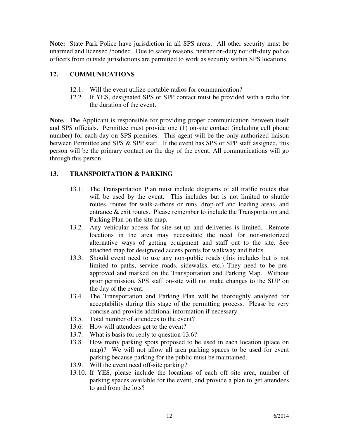**Note:** State Park Police have jurisdiction in all SPS areas. All other security must be unarmed and licensed /bonded. Due to safety reasons, neither on-duty nor off-duty police officers from outside jurisdictions are permitted to work as security within SPS locations.

# **12. COMMUNICATIONS**

- 12.1. Will the event utilize portable radios for communication?
- 12.2. If YES, designated SPS or SPP contact must be provided with a radio for the duration of the event.

**Note.** The Applicant is responsible for providing proper communication between itself and SPS officials. Permittee must provide one (1) on-site contact (including cell phone number) for each day on SPS premises. This agent will be the only authorized liaison between Permittee and SPS & SPP staff. If the event has SPS or SPP staff assigned, this person will be the primary contact on the day of the event. All communications will go through this person.

# **13. TRANSPORTATION & PARKING**

- 13.1. The Transportation Plan must include diagrams of all traffic routes that will be used by the event. This includes but is not limited to shuttle routes, routes for walk-a-thons or runs, drop-off and loading areas, and entrance & exit routes. Please remember to include the Transportation and Parking Plan on the site map.
- 13.2. Any vehicular access for site set-up and deliveries is limited. Remote locations in the area may necessitate the need for non-motorized alternative ways of getting equipment and staff out to the site. See attached map for designated access points for walkway and fields.
- 13.3. Should event need to use any non-public roads (this includes but is not limited to paths, service roads, sidewalks, etc.) They need to be preapproved and marked on the Transportation and Parking Map. Without prior permission, SPS staff on-site will not make changes to the SUP on the day of the event.
- 13.4. The Transportation and Parking Plan will be thoroughly analyzed for acceptability during this stage of the permitting process. Please be very concise and provide additional information if necessary.
- 13.5. Total number of attendees to the event?
- 13.6. How will attendees get to the event?
- 13.7. What is basis for reply to question 13.6?
- 13.8. How many parking spots proposed to be used in each location (place on map)? We will not allow all area parking spaces to be used for event parking because parking for the public must be maintained.
- 13.9. Will the event need off-site parking?
- 13.10. If YES, please include the locations of each off site area, number of parking spaces available for the event, and provide a plan to get attendees to and from the lots?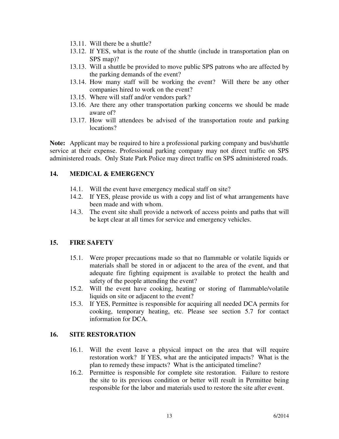- 13.11. Will there be a shuttle?
- 13.12. If YES, what is the route of the shuttle (include in transportation plan on SPS map)?
- 13.13. Will a shuttle be provided to move public SPS patrons who are affected by the parking demands of the event?
- 13.14. How many staff will be working the event? Will there be any other companies hired to work on the event?
- 13.15. Where will staff and/or vendors park?
- 13.16. Are there any other transportation parking concerns we should be made aware of?
- 13.17. How will attendees be advised of the transportation route and parking locations?

**Note:** Applicant may be required to hire a professional parking company and bus/shuttle service at their expense. Professional parking company may not direct traffic on SPS administered roads. Only State Park Police may direct traffic on SPS administered roads.

# **14. MEDICAL & EMERGENCY**

- 14.1. Will the event have emergency medical staff on site?
- 14.2. If YES, please provide us with a copy and list of what arrangements have been made and with whom.
- 14.3. The event site shall provide a network of access points and paths that will be kept clear at all times for service and emergency vehicles.

#### **15. FIRE SAFETY**

- 15.1. Were proper precautions made so that no flammable or volatile liquids or materials shall be stored in or adjacent to the area of the event, and that adequate fire fighting equipment is available to protect the health and safety of the people attending the event?
- 15.2. Will the event have cooking, heating or storing of flammable/volatile liquids on site or adjacent to the event?
- 15.3. If YES, Permittee is responsible for acquiring all needed DCA permits for cooking, temporary heating, etc. Please see section 5.7 for contact information for DCA.

#### **16. SITE RESTORATION**

- 16.1. Will the event leave a physical impact on the area that will require restoration work? If YES, what are the anticipated impacts? What is the plan to remedy these impacts? What is the anticipated timeline?
- 16.2. Permittee is responsible for complete site restoration. Failure to restore the site to its previous condition or better will result in Permittee being responsible for the labor and materials used to restore the site after event.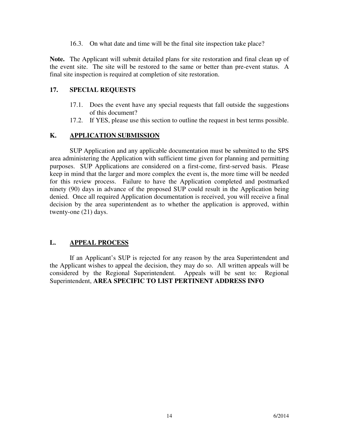16.3. On what date and time will be the final site inspection take place?

**Note.** The Applicant will submit detailed plans for site restoration and final clean up of the event site. The site will be restored to the same or better than pre-event status. A final site inspection is required at completion of site restoration.

#### **17. SPECIAL REQUESTS**

- 17.1. Does the event have any special requests that fall outside the suggestions of this document?
- 17.2. If YES, please use this section to outline the request in best terms possible.

# **K. APPLICATION SUBMISSION**

SUP Application and any applicable documentation must be submitted to the SPS area administering the Application with sufficient time given for planning and permitting purposes. SUP Applications are considered on a first-come, first-served basis. Please keep in mind that the larger and more complex the event is, the more time will be needed for this review process. Failure to have the Application completed and postmarked ninety (90) days in advance of the proposed SUP could result in the Application being denied. Once all required Application documentation is received, you will receive a final decision by the area superintendent as to whether the application is approved, within twenty-one (21) days.

#### **L. APPEAL PROCESS**

If an Applicant's SUP is rejected for any reason by the area Superintendent and the Applicant wishes to appeal the decision, they may do so. All written appeals will be considered by the Regional Superintendent. Appeals will be sent to: Regional Superintendent, **AREA SPECIFIC TO LIST PERTINENT ADDRESS INFO**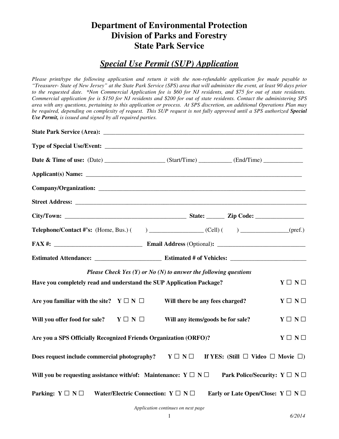# **Department of Environmental Protection Division of Parks and Forestry State Park Service**

# *Special Use Permit (SUP) Application*

*Please print/type the following application and return it with the non-refundable application fee made payable to "Treasurer- State of New Jersey" at the State Park Service (SPS) area that will administer the event, at least 90 days prior to the requested date. \*Non Commercial Application fee is \$60 for NJ residents, and \$75 for out of state residents. Commercial application fee is \$150 for NJ residents and \$200 for out of state residents. Contact the administering SPS area with any questions, pertaining to this application or process. At SPS discretion, an additional Operations Plan may*  be required, depending on complexity of request. This SUP request is not fully approved until a SPS authorized Special *Use Permit, is issued and signed by all required parties.* 

| <b>Telephone/Contact #'s:</b> (Home, Bus.) ( ) _______________(Cell) ( ) ____________(pref.)                                  |                                                                      |                                                 |                       |
|-------------------------------------------------------------------------------------------------------------------------------|----------------------------------------------------------------------|-------------------------------------------------|-----------------------|
|                                                                                                                               |                                                                      |                                                 |                       |
|                                                                                                                               |                                                                      |                                                 |                       |
|                                                                                                                               | Please Check Yes $(Y)$ or No $(N)$ to answer the following questions |                                                 |                       |
| Have you completely read and understand the SUP Application Package?                                                          |                                                                      |                                                 | $Y \square N \square$ |
| Are you familiar with the site? $Y \square N \square$                                                                         | Will there be any fees charged?                                      |                                                 | $Y \square N \square$ |
| Will you offer food for sale? $Y \square N \square$                                                                           | Will any items/goods be for sale?                                    |                                                 | $Y \square N \square$ |
| Are you a SPS Officially Recognized Friends Organization (ORFO)?                                                              |                                                                      |                                                 | $Y \square Y \square$ |
| Does request include commercial photography? $Y \square N \square$ If YES: (Still $\square$ Video $\square$ Movie $\square$ ) |                                                                      |                                                 |                       |
| Will you be requesting assistance with/of: Maintenance: $Y \square N \square$ Park Police/Security: $Y \square N \square$     |                                                                      |                                                 |                       |
| Parking: $Y \square N \square$                                                                                                | Water/Electric Connection: $Y \square N \square$                     | Early or Late Open/Close: $Y \square N \square$ |                       |